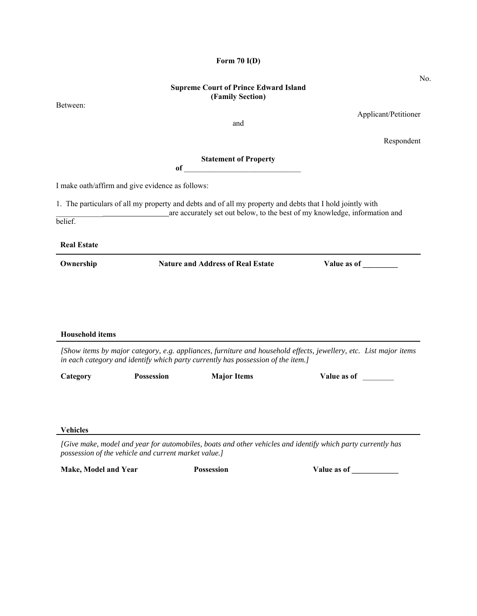# **Supreme Court of Prince Edward Island (Family Section)**

**Form 70 I(D)** 

Between:

and

Applicant/Petitioner

Respondent

**Statement of Property** 

**of** 

I make oath/affirm and give evidence as follows:

1. The particulars of all my property and debts and of all my property and debts that I hold jointly with

\_\_\_\_\_\_\_\_\_\_\_\_ are accurately set out below, to the best of my knowledge, information and belief.

**Real Estate**

**Ownership Stature and Address of Real Estate Stature as of Theorem 2016 Contract Address of Theorem 2016 Contract Address of Theorem 2016 Contract Address of Theorem 2016 Contract Address of Theorem 2016 Contract Address** 

**Household items**

*[Show items by major category, e.g. appliances, furniture and household effects, jewellery, etc. List major items in each category and identify which party currently has possession of the item.]*

| Category | <b>Possession</b> | <b>Major Items</b> | Value as of |
|----------|-------------------|--------------------|-------------|
|          |                   |                    |             |
|          |                   |                    |             |

**Vehicles** 

*[Give make, model and year for automobiles, boats and other vehicles and identify which party currently has possession of the vehicle and current market value.]*

Make, Model and Year **Possession** Possession Value as of

No.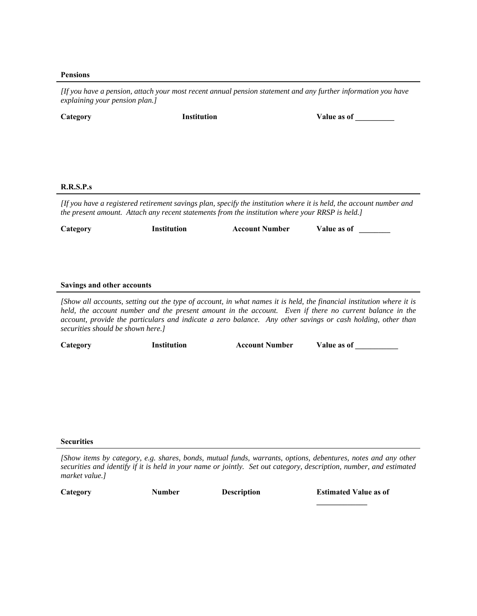### **Pensions**

*[If you have a pension, attach your most recent annual pension statement and any further information you have explaining your pension plan.]* 

| Category  | <b>Institution</b> |                                                                                                 | Value as of                                                                                                         |
|-----------|--------------------|-------------------------------------------------------------------------------------------------|---------------------------------------------------------------------------------------------------------------------|
|           |                    |                                                                                                 |                                                                                                                     |
|           |                    |                                                                                                 |                                                                                                                     |
|           |                    |                                                                                                 |                                                                                                                     |
|           |                    |                                                                                                 |                                                                                                                     |
| R.R.S.P.s |                    |                                                                                                 |                                                                                                                     |
|           |                    | the present amount. Attach any recent statements from the institution where your RRSP is held.] | [If you have a registered retirement savings plan, specify the institution where it is held, the account number and |
| Category  | <b>Institution</b> | <b>Account Number</b>                                                                           | Value as of                                                                                                         |
|           |                    |                                                                                                 |                                                                                                                     |

### **Savings and other accounts**

*[Show all accounts, setting out the type of account, in what names it is held, the financial institution where it is held, the account number and the present amount in the account. Even if there no current balance in the account, provide the particulars and indicate a zero balance. Any other savings or cash holding, other than securities should be shown here.]*

| Category<br>Value as of<br><b>Institution</b><br><b>Account Number</b> |  |
|------------------------------------------------------------------------|--|
|------------------------------------------------------------------------|--|

#### **Securities**

**Category Number Description Estimated Value as of** 

*<sup>[</sup>Show items by category, e.g. shares, bonds, mutual funds, warrants, options, debentures, notes and any other securities and identify if it is held in your name or jointly. Set out category, description, number, and estimated market value.]*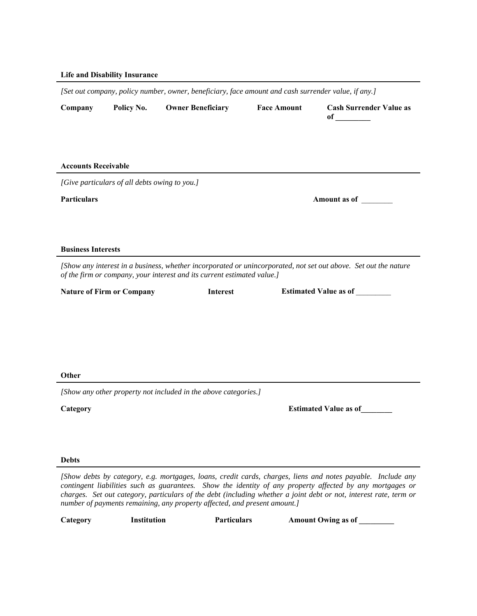## **Life and Disability Insurance**

|                            |                                               | [Set out company, policy number, owner, beneficiary, face amount and cash surrender value, if any.] |                    |                                                                                                                                                                                                                                                                                                                                               |
|----------------------------|-----------------------------------------------|-----------------------------------------------------------------------------------------------------|--------------------|-----------------------------------------------------------------------------------------------------------------------------------------------------------------------------------------------------------------------------------------------------------------------------------------------------------------------------------------------|
| Company                    | Policy No.                                    | <b>Owner Beneficiary</b>                                                                            | <b>Face Amount</b> | <b>Cash Surrender Value as</b>                                                                                                                                                                                                                                                                                                                |
|                            |                                               |                                                                                                     |                    |                                                                                                                                                                                                                                                                                                                                               |
| <b>Accounts Receivable</b> | [Give particulars of all debts owing to you.] |                                                                                                     |                    |                                                                                                                                                                                                                                                                                                                                               |
| <b>Particulars</b>         |                                               |                                                                                                     |                    | Amount as of                                                                                                                                                                                                                                                                                                                                  |
|                            |                                               |                                                                                                     |                    |                                                                                                                                                                                                                                                                                                                                               |
| <b>Business Interests</b>  |                                               |                                                                                                     |                    |                                                                                                                                                                                                                                                                                                                                               |
|                            |                                               | of the firm or company, your interest and its current estimated value.]                             |                    | [Show any interest in a business, whether incorporated or unincorporated, not set out above. Set out the nature                                                                                                                                                                                                                               |
|                            | <b>Nature of Firm or Company</b>              | <b>Interest</b>                                                                                     |                    | <b>Estimated Value as of</b>                                                                                                                                                                                                                                                                                                                  |
|                            |                                               |                                                                                                     |                    |                                                                                                                                                                                                                                                                                                                                               |
|                            |                                               |                                                                                                     |                    |                                                                                                                                                                                                                                                                                                                                               |
|                            |                                               |                                                                                                     |                    |                                                                                                                                                                                                                                                                                                                                               |
|                            |                                               |                                                                                                     |                    |                                                                                                                                                                                                                                                                                                                                               |
| Other                      |                                               |                                                                                                     |                    |                                                                                                                                                                                                                                                                                                                                               |
|                            |                                               | [Show any other property not included in the above categories.]                                     |                    |                                                                                                                                                                                                                                                                                                                                               |
| Category                   |                                               |                                                                                                     |                    | <b>Estimated Value as of</b>                                                                                                                                                                                                                                                                                                                  |
|                            |                                               |                                                                                                     |                    |                                                                                                                                                                                                                                                                                                                                               |
|                            |                                               |                                                                                                     |                    |                                                                                                                                                                                                                                                                                                                                               |
| <b>Debts</b>               |                                               |                                                                                                     |                    |                                                                                                                                                                                                                                                                                                                                               |
|                            |                                               |                                                                                                     |                    | [Show debts by category, e.g. mortgages, loans, credit cards, charges, liens and notes payable. Include any<br>contingent liabilities such as guarantees. Show the identity of any property affected by any mortgages or<br>charges. Set out category, particulars of the debt (including whether a joint debt or not, interest rate, term or |

**Category Institution Particulars** 

*number of payments remaining, any property affected, and present amount.]*

**Amount Owing as of \_\_\_\_\_\_\_\_\_**